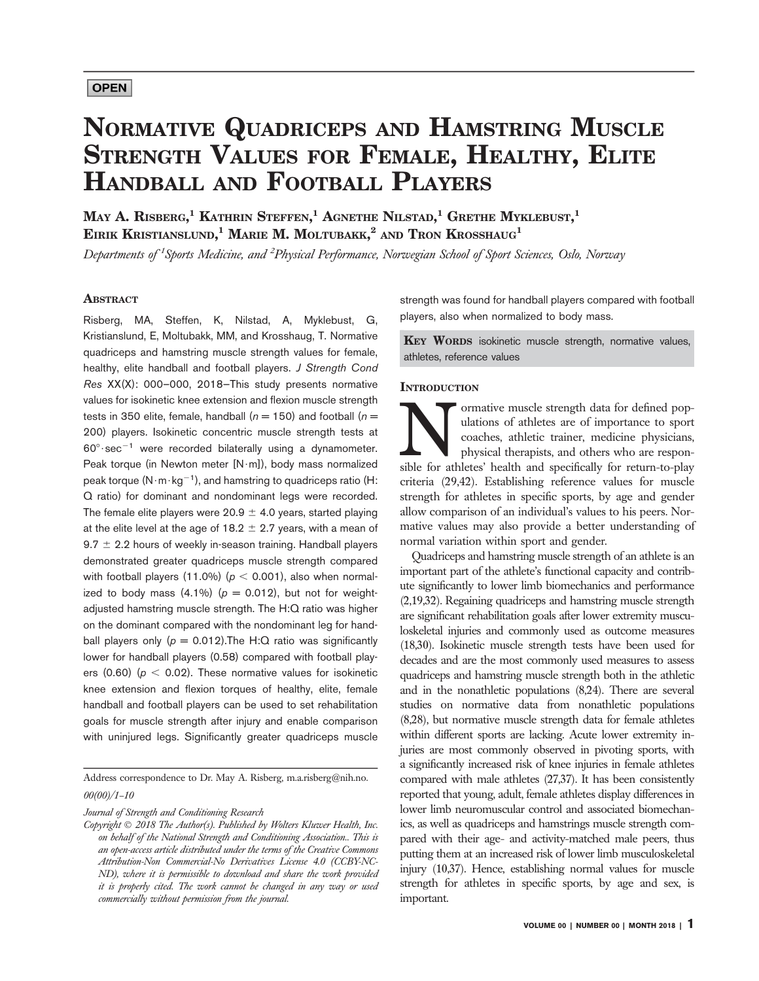# NORMATIVE QUADRICEPS AND HAMSTRING MUSCLE STRENGTH VALUES FOR FEMALE, HEALTHY, ELITE HANDBALL AND FOOTBALL PLAYERS

May A. Risberg, $^1$  Kathrin Steffen, $^1$  Agnethe Nilstad, $^1$  Grethe Myklebust, $^1$ Eirik Kristianslund, $^1$  Marie M. Moltubakk, $^2$  and Tron Krosshaug $^1$ 

Departments of <sup>1</sup>Sports Medicine, and <sup>2</sup>Physical Performance, Norwegian School of Sport Sciences, Oslo, Norway

# ABSTRACT

Risberg, MA, Steffen, K, Nilstad, A, Myklebust, G, Kristianslund, E, Moltubakk, MM, and Krosshaug, T. Normative quadriceps and hamstring muscle strength values for female, healthy, elite handball and football players. J Strength Cond Res XX(X): 000–000, 2018—This study presents normative values for isokinetic knee extension and flexion muscle strength tests in 350 elite, female, handball ( $n = 150$ ) and football ( $n =$ 200) players. Isokinetic concentric muscle strength tests at  $60^\circ \cdot \text{sec}^{-1}$  were recorded bilaterally using a dynamometer. Peak torque (in Newton meter  $[N·m]$ ), body mass normalized peak torque  $(N \cdot m \cdot kq^{-1})$ , and hamstring to quadriceps ratio (H: Q ratio) for dominant and nondominant legs were recorded. The female elite players were 20.9  $\pm$  4.0 years, started playing at the elite level at the age of 18.2  $\pm$  2.7 years, with a mean of  $9.7 \pm 2.2$  hours of weekly in-season training. Handball players demonstrated greater quadriceps muscle strength compared with football players (11.0%) ( $p < 0.001$ ), also when normalized to body mass  $(4.1\%)$  ( $p = 0.012$ ), but not for weightadjusted hamstring muscle strength. The H:Q ratio was higher on the dominant compared with the nondominant leg for handball players only ( $p = 0.012$ ). The H: Q ratio was significantly lower for handball players (0.58) compared with football players (0.60) ( $p < 0.02$ ). These normative values for isokinetic knee extension and flexion torques of healthy, elite, female handball and football players can be used to set rehabilitation goals for muscle strength after injury and enable comparison with uninjured legs. Significantly greater quadriceps muscle

Address correspondence to Dr. May A. Risberg, [m.a.risberg@nih.no.](mailto:m.a.risberg@nih.no) 00(00)/1–10

Journal of Strength and Conditioning Research

Copyright  $© 2018$  The Author(s). Published by Wolters Kluwer Health, Inc. on behalf of the National Strength and Conditioning Association.. This is an open-access article distributed under the terms of the [Creative Commons](http://creativecommons.org/licenses/by-nc-nd/4.0/) [Attribution-Non Commercial-No Derivatives License 4.0 \(CCBY-NC-](http://creativecommons.org/licenses/by-nc-nd/4.0/)[ND\)](http://creativecommons.org/licenses/by-nc-nd/4.0/), where it is permissible to download and share the work provided it is properly cited. The work cannot be changed in any way or used commercially without permission from the journal.

strength was found for handball players compared with football players, also when normalized to body mass.

KEY WORDS isokinetic muscle strength, normative values, athletes, reference values

# **INTRODUCTION**

ormative muscle strength data for defined pop-<br>ulations of athletes are of importance to sport<br>coaches, athletic trainer, medicine physicians,<br>physical therapists, and others who are respon-<br>sible for athletes' health and ulations of athletes are of importance to sport coaches, athletic trainer, medicine physicians, physical therapists, and others who are responsible for athletes' health and specifically for return-to-play criteria (29,42). Establishing reference values for muscle strength for athletes in specific sports, by age and gender allow comparison of an individual's values to his peers. Normative values may also provide a better understanding of normal variation within sport and gender.

Quadriceps and hamstring muscle strength of an athlete is an important part of the athlete's functional capacity and contribute significantly to lower limb biomechanics and performance (2,19,32). Regaining quadriceps and hamstring muscle strength are significant rehabilitation goals after lower extremity musculoskeletal injuries and commonly used as outcome measures (18,30). Isokinetic muscle strength tests have been used for decades and are the most commonly used measures to assess quadriceps and hamstring muscle strength both in the athletic and in the nonathletic populations (8,24). There are several studies on normative data from nonathletic populations (8,28), but normative muscle strength data for female athletes within different sports are lacking. Acute lower extremity injuries are most commonly observed in pivoting sports, with a significantly increased risk of knee injuries in female athletes compared with male athletes (27,37). It has been consistently reported that young, adult, female athletes display differences in lower limb neuromuscular control and associated biomechanics, as well as quadriceps and hamstrings muscle strength compared with their age- and activity-matched male peers, thus putting them at an increased risk of lower limb musculoskeletal injury (10,37). Hence, establishing normal values for muscle strength for athletes in specific sports, by age and sex, is important.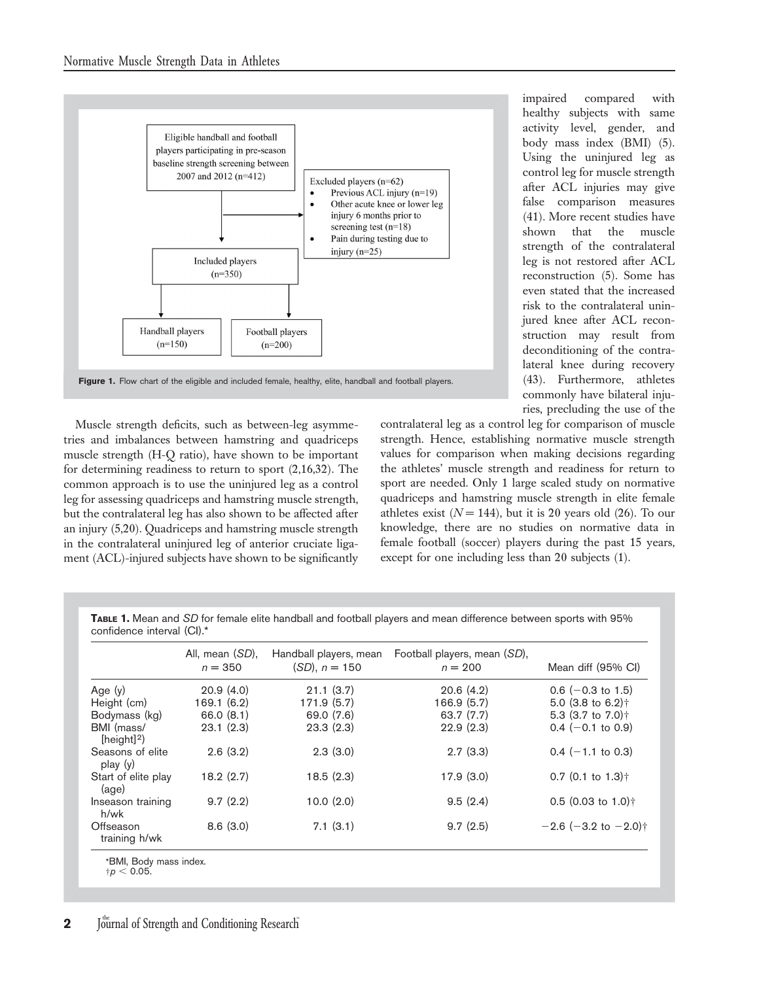

Figure 1. Flow chart of the eligible and included female, healthy, elite, handball and football players.

Muscle strength deficits, such as between-leg asymmetries and imbalances between hamstring and quadriceps muscle strength (H-Q ratio), have shown to be important for determining readiness to return to sport (2,16,32). The common approach is to use the uninjured leg as a control leg for assessing quadriceps and hamstring muscle strength, but the contralateral leg has also shown to be affected after an injury (5,20). Quadriceps and hamstring muscle strength in the contralateral uninjured leg of anterior cruciate ligament (ACL)-injured subjects have shown to be significantly

impaired compared with healthy subjects with same activity level, gender, and body mass index (BMI) (5). Using the uninjured leg as control leg for muscle strength after ACL injuries may give false comparison measures (41). More recent studies have shown that the muscle strength of the contralateral leg is not restored after ACL reconstruction (5). Some has even stated that the increased risk to the contralateral uninjured knee after ACL reconstruction may result from deconditioning of the contralateral knee during recovery (43). Furthermore, athletes commonly have bilateral injuries, precluding the use of the

contralateral leg as a control leg for comparison of muscle strength. Hence, establishing normative muscle strength values for comparison when making decisions regarding the athletes' muscle strength and readiness for return to sport are needed. Only 1 large scaled study on normative quadriceps and hamstring muscle strength in elite female athletes exist ( $N = 144$ ), but it is 20 years old (26). To our knowledge, there are no studies on normative data in female football (soccer) players during the past 15 years, except for one including less than 20 subjects (1).

TABLE 1. Mean and SD for female elite handball and football players and mean difference between sports with 95% confidence interval (CI).\*

|                               | All, mean (SD),<br>$n = 350$ | Handball players, mean<br>$(SD), n = 150$ | Football players, mean (SD),<br>$n = 200$ | Mean diff (95% CI)                                 |
|-------------------------------|------------------------------|-------------------------------------------|-------------------------------------------|----------------------------------------------------|
| Age $(y)$                     | 20.9(4.0)                    | 21.1(3.7)                                 | 20.6(4.2)                                 | $0.6$ (-0.3 to 1.5)                                |
| Height (cm)                   | 169.1(6.2)                   | 171.9 (5.7)                               | 166.9 (5.7)                               | 5.0 (3.8 to 6.2) $\dagger$                         |
| Bodymass (kg)                 | 66.0(8.1)                    | 69.0 (7.6)                                | 63.7 (7.7)                                | 5.3 $(3.7 \text{ to } 7.0)$ <sup>+</sup>           |
| BMI (mass/<br>[height] $^2$ ) | 23.1(2.3)                    | 23.3(2.3)                                 | 22.9(2.3)                                 | $0.4$ (-0.1 to 0.9)                                |
| Seasons of elite<br>play(y)   | 2.6(3.2)                     | 2.3(3.0)                                  | 2.7(3.3)                                  | $0.4$ (-1.1 to 0.3)                                |
| Start of elite play<br>(aq e) | 18.2(2.7)                    | 18.5(2.3)                                 | 17.9(3.0)                                 | $0.7$ (0.1 to 1.3) <sup><math>\dagger</math></sup> |
| Inseason training<br>h/wk     | 9.7(2.2)                     | 10.0(2.0)                                 | 9.5(2.4)                                  | $0.5$ (0.03 to 1.0) <sup>†</sup>                   |
| Offseason<br>training h/wk    | 8.6(3.0)                     | 7.1(3.1)                                  | 9.7(2.5)                                  | $-2.6$ (-3.2 to $-2.0$ ) <sup>+</sup>              |

```
*BMI, Body mass index.<br>†p < 0.05.
```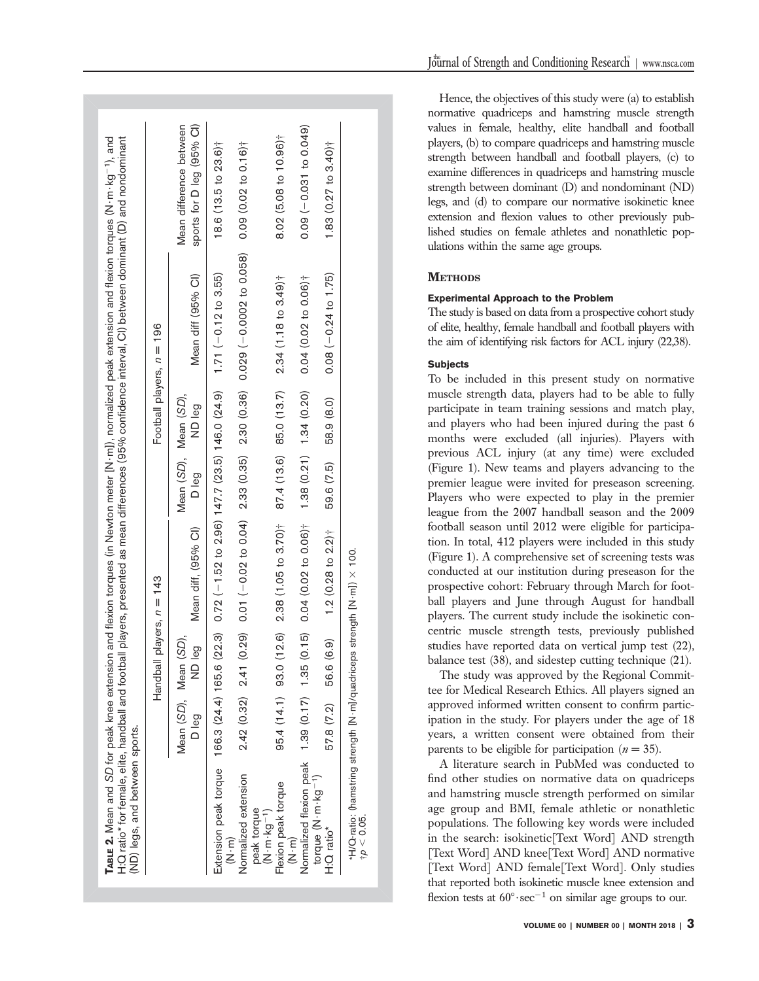|                                                                                                                                                                     |                                | Handball players, $n = 143$ |                                                  |                                |                           | Football players, $n = 196$                                                   |                                                      |
|---------------------------------------------------------------------------------------------------------------------------------------------------------------------|--------------------------------|-----------------------------|--------------------------------------------------|--------------------------------|---------------------------|-------------------------------------------------------------------------------|------------------------------------------------------|
|                                                                                                                                                                     | Mean (SD), Mean (SD),<br>D leg | ND leg                      | Mean diff, (95% CI)                              | Mean (SD), Mean (SD),<br>D leg | ND leg                    | Mean diff (95% CI)                                                            | sports for D leg (95% Cl)<br>Mean difference between |
| Extension peak torque 166.3 (24.4) 165.6 (2<br>E<br>S<br>S<br>S<br>S<br>S<br>S<br>S<br><br><br><br><br><br><br><br><br><br><br><br><br><br><br><br><br><br><br><br> |                                | 22.3)                       | $0.72$ (-1.52 to 2.96) 147.7 (23.5) 146.0 (24.9) |                                |                           | $1.71 (-0.12 to 3.55)$                                                        | $18.6(13.5)$ to $23.6$ <sup>+</sup>                  |
| Normalized extension<br>peak torque                                                                                                                                 |                                | $2.42(0.32)$ $2.41(0.29)$   |                                                  |                                |                           | $0.01 (-0.02 to 0.04)$ $2.33 (0.35)$ $2.30 (0.36)$ $0.029 (-0.0002 to 0.058)$ | 0.09(0.02 to 0.16)                                   |
| Flexion peak torque<br>$(N \cdot m \cdot kq^{-1})$                                                                                                                  | 95.4 (14.1) 93.0 (1            | (9.6)                       | $2.38(1.05 to 3.70)$ <sup>+</sup>                |                                | 87.4 (13.6) 85.0 (13.7)   | $2.34(1.18 to 3.49)$ <sup>†</sup>                                             | 8.02 (5.08 to 10.96) <sup>†</sup>                    |
| Normalized flexion peak 1.39 (0.17) 1.35 (0.15)<br>$\widehat{K}$ . M $\cdot$                                                                                        |                                |                             | $0.04(0.02 \text{ to } 0.06)^{+}$                |                                | $1.38(0.21)$ $1.34(0.20)$ | $0.04(0.02 to 0.06)$ <sup>†</sup>                                             | $0.09(-0.031 to 0.049)$                              |
| torque (N·m·kg <sup>-1</sup> )<br>H:O ratio <sup>*</sup>                                                                                                            | 57.8 (7.2)                     | 56.6 (6.9)                  | 1.2 $(0.28$ to $2.2$ <sup>+</sup>                | 59.6 (7.5)                     | 58.9 (8.0)                | $0.08 (-0.24 to 1.75)$                                                        | 1.83 $(0.27 \text{ to } 3.40)$ <sup>†</sup>          |

Hence, the objectives of this study were (a) to establish normative quadriceps and hamstring muscle strength values in female, healthy, elite handball and football players, (b) to compare quadriceps and hamstring muscle strength between handball and football players, (c) to examine differences in quadriceps and hamstring muscle strength between dominant (D) and nondominant (ND) legs, and (d) to compare our normative isokinetic knee extension and flexion values to other previously published studies on female athletes and nonathletic populations within the same age groups.

# **METHODS**

# Experimental Approach to the Problem

The study is based on data from a prospective cohort study of elite, healthy, female handball and football players with the aim of identifying risk factors for ACL injury (22,38).

# **Subjects**

To be included in this present study on normative muscle strength data, players had to be able to fully participate in team training sessions and match play, and players who had been injured during the past 6 months were excluded (all injuries). Players with previous ACL injury (at any time) were excluded (Figure 1). New teams and players advancing to the premier league were invited for preseason screening. Players who were expected to play in the premier league from the 2007 handball season and the 2009 football season until 2012 were eligible for participation. In total, 412 players were included in this study (Figure 1). A comprehensive set of screening tests was conducted at our institution during preseason for the prospective cohort: February through March for football players and June through August for handball players. The current study include the isokinetic concentric muscle strength tests, previously published studies have reported data on vertical jump test (22), balance test (38), and sidestep cutting technique (21).

The study was approved by the Regional Committee for Medical Research Ethics. All players signed an approved informed written consent to confirm participation in the study. For players under the age of 18 years, a written consent were obtained from their parents to be eligible for participation ( $n = 35$ ).

A literature search in PubMed was conducted to find other studies on normative data on quadriceps and hamstring muscle strength performed on similar age group and BMI, female athletic or nonathletic populations. The following key words were included in the search: isokinetic[Text Word] AND strength [Text Word] AND knee[Text Word] AND normative [Text Word] AND female[Text Word]. Only studies that reported both isokinetic muscle knee extension and flexion tests at  $60^{\circ} \cdot \text{sec}^{-1}$  on similar age groups to our.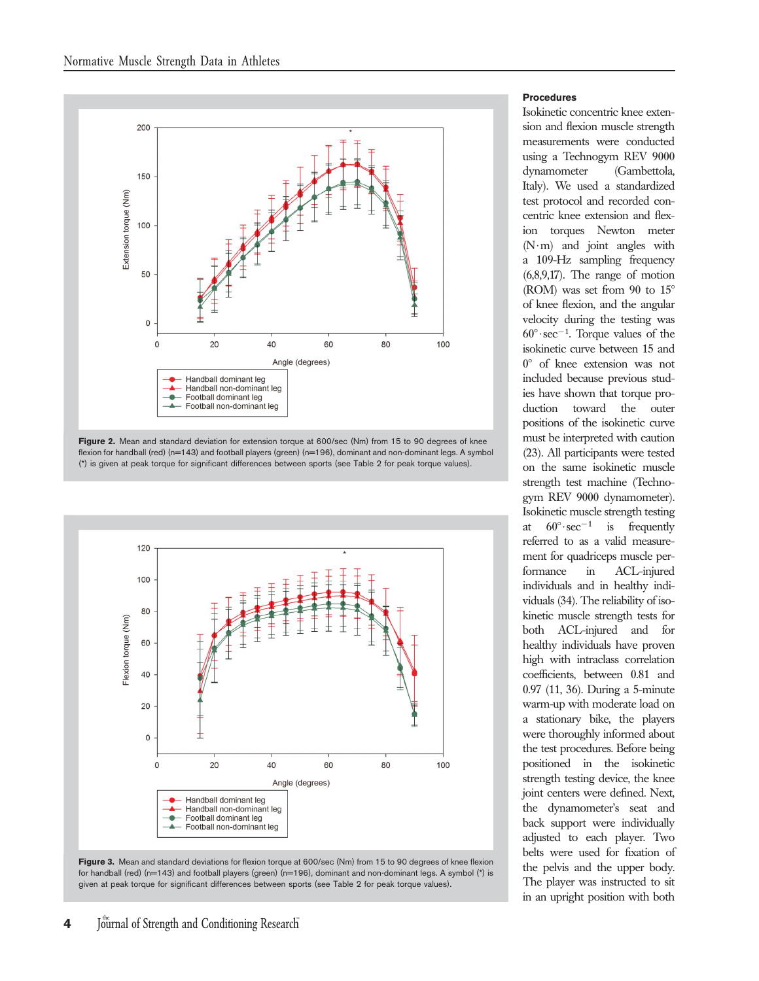

Figure 2. Mean and standard deviation for extension torque at 600/sec (Nm) from 15 to 90 degrees of knee flexion for handball (red) (n=143) and football players (green) (n=196), dominant and non-dominant legs. A symbol (\*) is given at peak torque for significant differences between sports (see Table 2 for peak torque values).



Figure 3. Mean and standard deviations for flexion torque at 600/sec (Nm) from 15 to 90 degrees of knee flexion for handball (red) (n=143) and football players (green) (n=196), dominant and non-dominant legs. A symbol (\*) is given at peak torque for significant differences between sports (see Table 2 for peak torque values).

# Procedures

Isokinetic concentric knee extension and flexion muscle strength measurements were conducted using a Technogym REV 9000 dynamometer (Gambettola, Italy). We used a standardized test protocol and recorded concentric knee extension and flexion torques Newton meter  $(N \cdot m)$  and joint angles with a 109-Hz sampling frequency (6,8,9,17). The range of motion (ROM) was set from 90 to  $15^{\circ}$ of knee flexion, and the angular velocity during the testing was  $60^\circ \text{·sec}^{-1}$ . Torque values of the isokinetic curve between 15 and  $0^{\circ}$  of knee extension was not included because previous studies have shown that torque production toward the outer positions of the isokinetic curve must be interpreted with caution (23). All participants were tested on the same isokinetic muscle strength test machine (Technogym REV 9000 dynamometer). Isokinetic muscle strength testing at  $60^\circ \sec^{-1}$  is frequently referred to as a valid measurement for quadriceps muscle performance in ACL-injured individuals and in healthy individuals (34). The reliability of isokinetic muscle strength tests for both ACL-injured and for healthy individuals have proven high with intraclass correlation coefficients, between 0.81 and 0.97 (11, 36). During a 5-minute warm-up with moderate load on a stationary bike, the players were thoroughly informed about the test procedures. Before being positioned in the isokinetic strength testing device, the knee joint centers were defined. Next, the dynamometer's seat and back support were individually adjusted to each player. Two belts were used for fixation of the pelvis and the upper body. The player was instructed to sit in an upright position with both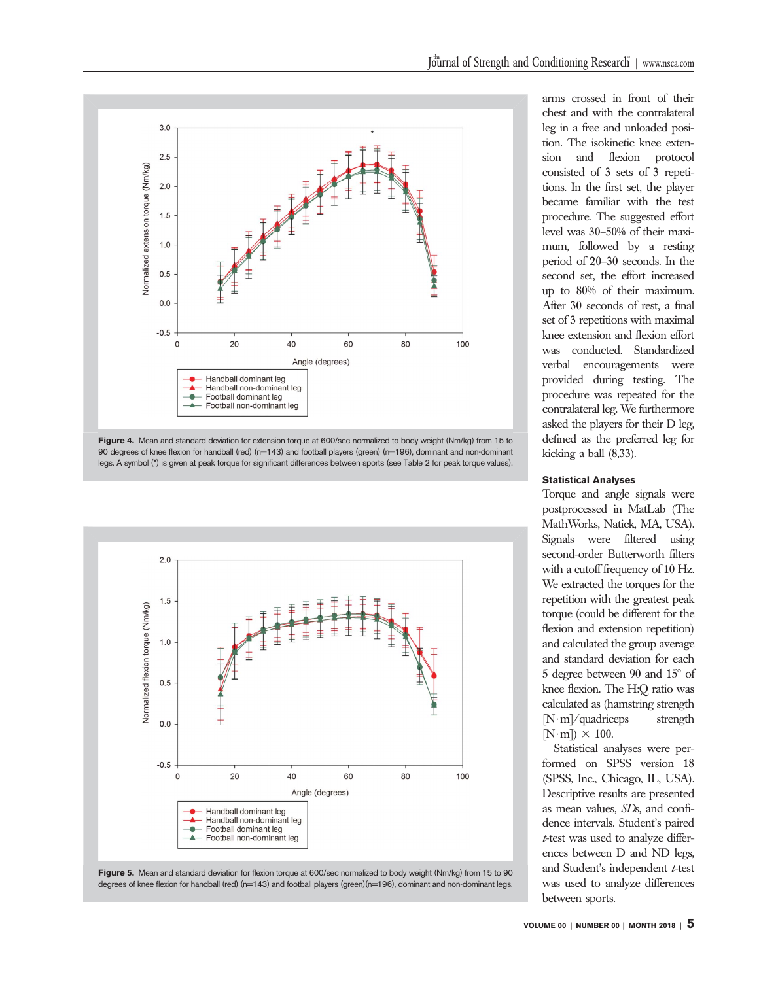

Figure 4. Mean and standard deviation for extension torque at 600/sec normalized to body weight (Nm/kg) from 15 to 90 degrees of knee flexion for handball (red) (n=143) and football players (green) (n=196), dominant and non-dominant legs. A symbol (\*) is given at peak torque for significant differences between sports (see Table 2 for peak torque values).





arms crossed in front of their chest and with the contralateral leg in a free and unloaded position. The isokinetic knee extension and flexion protocol consisted of 3 sets of 3 repetitions. In the first set, the player became familiar with the test procedure. The suggested effort level was 30–50% of their maximum, followed by a resting period of 20–30 seconds. In the second set, the effort increased up to 80% of their maximum. After 30 seconds of rest, a final set of 3 repetitions with maximal knee extension and flexion effort was conducted. Standardized verbal encouragements were provided during testing. The procedure was repeated for the contralateral leg. We furthermore asked the players for their D leg, defined as the preferred leg for kicking a ball (8,33).

#### Statistical Analyses

Torque and angle signals were postprocessed in MatLab (The MathWorks, Natick, MA, USA). Signals were filtered using second-order Butterworth filters with a cutoff frequency of 10 Hz. We extracted the torques for the repetition with the greatest peak torque (could be different for the flexion and extension repetition) and calculated the group average and standard deviation for each 5 degree between 90 and  $15^{\circ}$  of knee flexion. The H:Q ratio was calculated as (hamstring strength  $[N \cdot m]$ /quadriceps strength  $[N \cdot m]$   $\times$  100.

Statistical analyses were performed on SPSS version 18 (SPSS, Inc., Chicago, IL, USA). Descriptive results are presented as mean values, SDs, and confidence intervals. Student's paired t-test was used to analyze differences between D and ND legs, and Student's independent t-test was used to analyze differences between sports.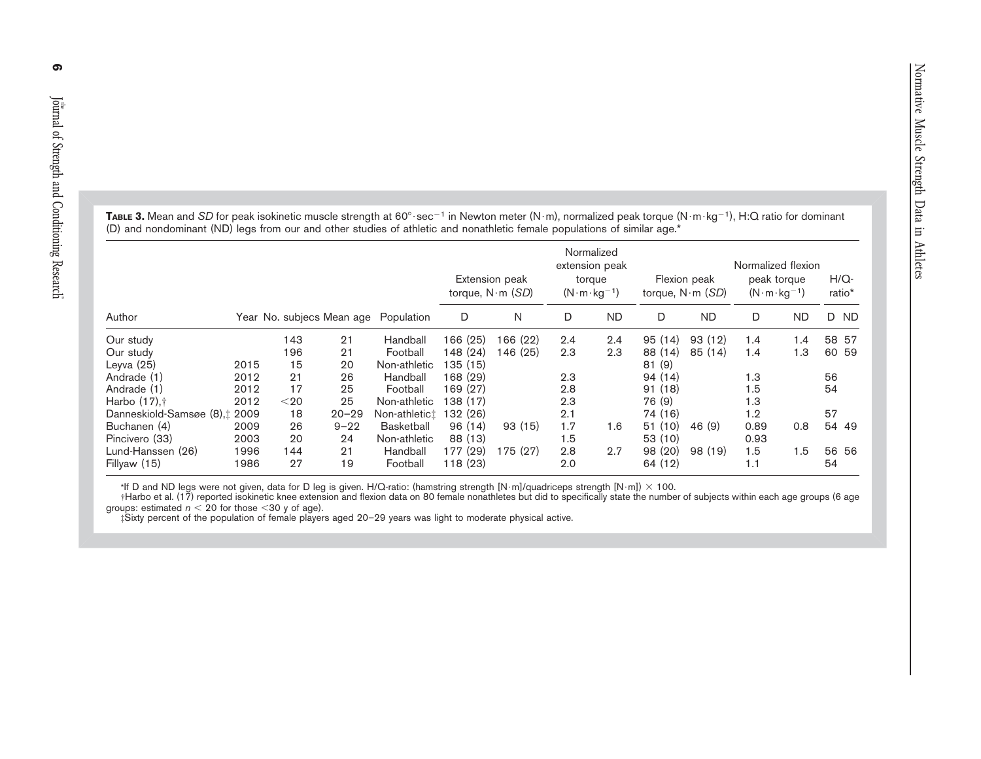|                               |      |        |           |                                      |          | Extension peak<br>torque, $N \cdot m$ ( <i>SD</i> ) | Normalized | extension peak<br>torque<br>$(N \cdot m \cdot kq^{-1})$ |         | Flexion peak<br>torque, $N \cdot m$ (SD) | Normalized flexion<br>peak torque<br>$(N \cdot m \cdot kg^{-1})$ |           | $H/Q-$<br>ratio* |
|-------------------------------|------|--------|-----------|--------------------------------------|----------|-----------------------------------------------------|------------|---------------------------------------------------------|---------|------------------------------------------|------------------------------------------------------------------|-----------|------------------|
| Author                        |      |        |           | Year No. subjecs Mean age Population | D        | N                                                   | D          | <b>ND</b>                                               | D       | <b>ND</b>                                | D                                                                | <b>ND</b> | D ND             |
| Our study                     |      | 143    | 21        | Handball                             | 166 (25) | 166 (22)                                            | 2.4        | 2.4                                                     | 95(14)  | 93(12)                                   | 1.4                                                              | 1.4       | 58 57            |
| Our study                     |      | 196    | 21        | Football                             | 148 (24) | 146 (25)                                            | 2.3        | 2.3                                                     | 88 (14) | 85(14)                                   | 1.4                                                              | 1.3       | 60 59            |
| Leyva (25)                    | 2015 | 15     | 20        | Non-athletic                         | 135 (15) |                                                     |            |                                                         | 81(9)   |                                          |                                                                  |           |                  |
| Andrade (1)                   | 2012 | 21     | 26        | Handball                             | 168 (29) |                                                     | 2.3        |                                                         | 94(14)  |                                          | 1.3                                                              |           | 56               |
| Andrade (1)                   | 2012 | 17     | 25        | Football                             | 169 (27) |                                                     | 2.8        |                                                         | 91(18)  |                                          | 1.5                                                              |           | 54               |
| Harbo (17),†                  | 2012 | $<$ 20 | 25        | Non-athletic                         | 138 (17) |                                                     | 2.3        |                                                         | 76 (9)  |                                          | 1.3                                                              |           |                  |
| Danneskiold-Samsøe (8),‡ 2009 |      | 18     | $20 - 29$ | Non-athletict                        | 132 (26) |                                                     | 2.1        |                                                         | 74 (16) |                                          | 1.2                                                              |           | 57               |
| Buchanen (4)                  | 2009 | 26     | $9 - 22$  | <b>Basketball</b>                    | 96(14)   | 93(15)                                              | 1.7        | 1.6                                                     | 51(10)  | 46 (9)                                   | 0.89                                                             | 0.8       | 54 49            |
| Pincivero (33)                | 2003 | 20     | 24        | Non-athletic                         | 88 (13)  |                                                     | 1.5        |                                                         | 53 (10) |                                          | 0.93                                                             |           |                  |
| Lund-Hanssen (26)             | 1996 | 144    | 21        | Handball                             | 177 (29) | 175 (27)                                            | 2.8        | 2.7                                                     | 98 (20) | 98 (19)                                  | 1.5                                                              | 1.5       | 56 56            |
| Fillyaw (15)                  | 1986 | 27     | 19        | Football                             | 118(23)  |                                                     | 2.0        |                                                         | 64 (12) |                                          | 1.1                                                              |           | 54               |
|                               |      |        |           |                                      |          |                                                     |            |                                                         |         |                                          |                                                                  |           |                  |

**Table 3.** Mean and *SD* for peak isokinetic muscle strength at 60°·sec<sup>-1</sup> in Newton meter (N·m), normalized peak torque (N·m·kg<sup>-1</sup>), H:Q ratio for dominant (D) and nondominant (ND) legs from our and other studies of athletic and nonathletic female populations of similar age.\*

\*lf D and ND legs were not given, data for D leg is given. H/Q-ratio: (hamstring strength [N·m]/quadriceps strength [N·m]) × 100.<br>†Harbo et al. (17) reported isokinetic knee extension and flexion data on 80 female nonathl groups: estimated  $n <$  20 for those  $<$  30 y of age).

 $\sharp$ Sixty percent of the population of female players aged 20–29 years was light to moderate physical active.

6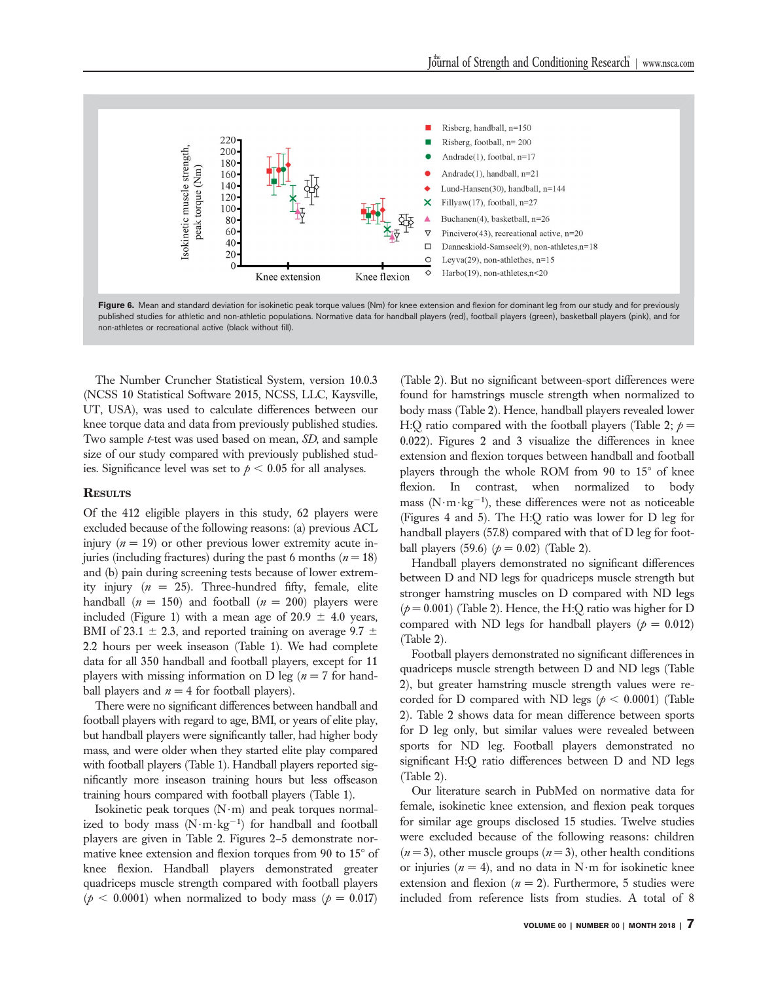

Figure 6. Mean and standard deviation for isokinetic peak torque values (Nm) for knee extension and flexion for dominant leg from our study and for previously published studies for athletic and non-athletic populations. Normative data for handball players (red), football players (green), basketball players (pink), and for non-athletes or recreational active (black without fill).

The Number Cruncher Statistical System, version 10.0.3 (NCSS 10 Statistical Software 2015, NCSS, LLC, Kaysville, UT, USA), was used to calculate differences between our knee torque data and data from previously published studies. Two sample t-test was used based on mean, SD, and sample size of our study compared with previously published studies. Significance level was set to  $p < 0.05$  for all analyses.

# **RESULTS**

Of the 412 eligible players in this study, 62 players were excluded because of the following reasons: (a) previous ACL injury  $(n = 19)$  or other previous lower extremity acute injuries (including fractures) during the past 6 months ( $n = 18$ ) and (b) pain during screening tests because of lower extremity injury  $(n = 25)$ . Three-hundred fifty, female, elite handball  $(n = 150)$  and football  $(n = 200)$  players were included (Figure 1) with a mean age of  $20.9 \pm 4.0$  years, BMI of 23.1  $\pm$  2.3, and reported training on average 9.7  $\pm$ 2.2 hours per week inseason (Table 1). We had complete data for all 350 handball and football players, except for 11 players with missing information on D leg ( $n = 7$  for handball players and  $n = 4$  for football players).

There were no significant differences between handball and football players with regard to age, BMI, or years of elite play, but handball players were significantly taller, had higher body mass, and were older when they started elite play compared with football players (Table 1). Handball players reported significantly more inseason training hours but less offseason training hours compared with football players (Table 1).

Isokinetic peak torques  $(N \cdot m)$  and peak torques normalized to body mass  $(N \cdot m \cdot kg^{-1})$  for handball and football players are given in Table 2. Figures 2–5 demonstrate normative knee extension and flexion torques from 90 to  $15^{\circ}$  of knee flexion. Handball players demonstrated greater quadriceps muscle strength compared with football players  $(\phi < 0.0001)$  when normalized to body mass ( $\rho = 0.017$ )

(Table 2). But no significant between-sport differences were found for hamstrings muscle strength when normalized to body mass (Table 2). Hence, handball players revealed lower H:Q ratio compared with the football players (Table 2;  $p =$ 0.022). Figures 2 and 3 visualize the differences in knee extension and flexion torques between handball and football players through the whole ROM from 90 to  $15^{\circ}$  of knee flexion. In contrast, when normalized to body mass ( $N \cdot m \cdot kg^{-1}$ ), these differences were not as noticeable (Figures 4 and 5). The H:Q ratio was lower for D leg for handball players (57.8) compared with that of D leg for football players (59.6)  $(p = 0.02)$  (Table 2).

Handball players demonstrated no significant differences between D and ND legs for quadriceps muscle strength but stronger hamstring muscles on D compared with ND legs  $(p = 0.001)$  (Table 2). Hence, the H:Q ratio was higher for D compared with ND legs for handball players ( $p = 0.012$ ) (Table 2).

Football players demonstrated no significant differences in quadriceps muscle strength between D and ND legs (Table 2), but greater hamstring muscle strength values were recorded for D compared with ND legs ( $p < 0.0001$ ) (Table 2). Table 2 shows data for mean difference between sports for D leg only, but similar values were revealed between sports for ND leg. Football players demonstrated no significant H:Q ratio differences between D and ND legs (Table 2).

Our literature search in PubMed on normative data for female, isokinetic knee extension, and flexion peak torques for similar age groups disclosed 15 studies. Twelve studies were excluded because of the following reasons: children  $(n=3)$ , other muscle groups  $(n=3)$ , other health conditions or injuries ( $n = 4$ ), and no data in N·m for isokinetic knee extension and flexion  $(n = 2)$ . Furthermore, 5 studies were included from reference lists from studies. A total of 8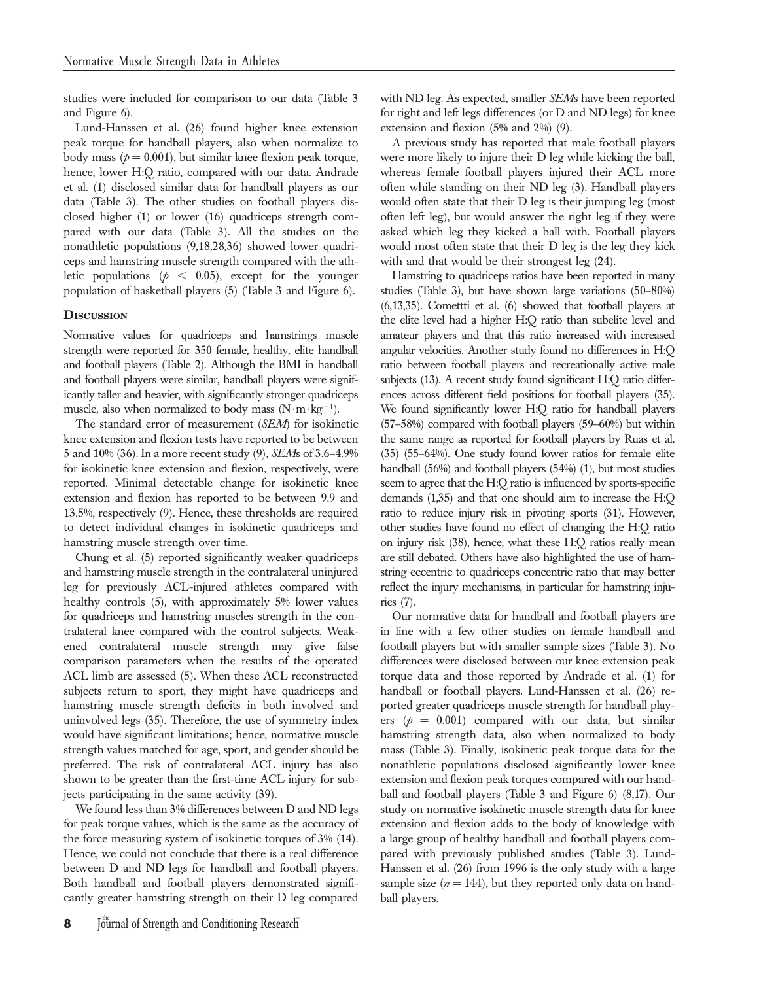studies were included for comparison to our data (Table 3 and Figure 6).

Lund-Hanssen et al. (26) found higher knee extension peak torque for handball players, also when normalize to body mass ( $p = 0.001$ ), but similar knee flexion peak torque, hence, lower H:Q ratio, compared with our data. Andrade et al. (1) disclosed similar data for handball players as our data (Table 3). The other studies on football players disclosed higher (1) or lower (16) quadriceps strength compared with our data (Table 3). All the studies on the nonathletic populations (9,18,28,36) showed lower quadriceps and hamstring muscle strength compared with the athletic populations ( $p < 0.05$ ), except for the younger population of basketball players (5) (Table 3 and Figure 6).

# **DISCUSSION**

Normative values for quadriceps and hamstrings muscle strength were reported for 350 female, healthy, elite handball and football players (Table 2). Although the BMI in handball and football players were similar, handball players were significantly taller and heavier, with significantly stronger quadriceps muscle, also when normalized to body mass  $(N \cdot m \cdot kg^{-1})$ .

The standard error of measurement (SEM) for isokinetic knee extension and flexion tests have reported to be between 5 and 10% (36). In a more recent study (9), SEMs of 3.6–4.9% for isokinetic knee extension and flexion, respectively, were reported. Minimal detectable change for isokinetic knee extension and flexion has reported to be between 9.9 and 13.5%, respectively (9). Hence, these thresholds are required to detect individual changes in isokinetic quadriceps and hamstring muscle strength over time.

Chung et al. (5) reported significantly weaker quadriceps and hamstring muscle strength in the contralateral uninjured leg for previously ACL-injured athletes compared with healthy controls (5), with approximately 5% lower values for quadriceps and hamstring muscles strength in the contralateral knee compared with the control subjects. Weakened contralateral muscle strength may give false comparison parameters when the results of the operated ACL limb are assessed (5). When these ACL reconstructed subjects return to sport, they might have quadriceps and hamstring muscle strength deficits in both involved and uninvolved legs (35). Therefore, the use of symmetry index would have significant limitations; hence, normative muscle strength values matched for age, sport, and gender should be preferred. The risk of contralateral ACL injury has also shown to be greater than the first-time ACL injury for subjects participating in the same activity (39).

We found less than 3% differences between D and ND legs for peak torque values, which is the same as the accuracy of the force measuring system of isokinetic torques of 3% (14). Hence, we could not conclude that there is a real difference between D and ND legs for handball and football players. Both handball and football players demonstrated significantly greater hamstring strength on their D leg compared

with ND leg. As expected, smaller SEMs have been reported for right and left legs differences (or D and ND legs) for knee extension and flexion (5% and 2%) (9).

A previous study has reported that male football players were more likely to injure their D leg while kicking the ball, whereas female football players injured their ACL more often while standing on their ND leg (3). Handball players would often state that their D leg is their jumping leg (most often left leg), but would answer the right leg if they were asked which leg they kicked a ball with. Football players would most often state that their D leg is the leg they kick with and that would be their strongest leg  $(24)$ .

Hamstring to quadriceps ratios have been reported in many studies (Table 3), but have shown large variations (50–80%) (6,13,35). Comettti et al. (6) showed that football players at the elite level had a higher H:Q ratio than subelite level and amateur players and that this ratio increased with increased angular velocities. Another study found no differences in H:Q ratio between football players and recreationally active male subjects (13). A recent study found significant H:Q ratio differences across different field positions for football players (35). We found significantly lower H:Q ratio for handball players (57–58%) compared with football players (59–60%) but within the same range as reported for football players by Ruas et al. (35) (55–64%). One study found lower ratios for female elite handball (56%) and football players (54%) (1), but most studies seem to agree that the H:Q ratio is influenced by sports-specific demands (1,35) and that one should aim to increase the H:Q ratio to reduce injury risk in pivoting sports (31). However, other studies have found no effect of changing the H:Q ratio on injury risk (38), hence, what these H:Q ratios really mean are still debated. Others have also highlighted the use of hamstring eccentric to quadriceps concentric ratio that may better reflect the injury mechanisms, in particular for hamstring injuries (7).

Our normative data for handball and football players are in line with a few other studies on female handball and football players but with smaller sample sizes (Table 3). No differences were disclosed between our knee extension peak torque data and those reported by Andrade et al. (1) for handball or football players. Lund-Hanssen et al. (26) reported greater quadriceps muscle strength for handball players ( $p = 0.001$ ) compared with our data, but similar hamstring strength data, also when normalized to body mass (Table 3). Finally, isokinetic peak torque data for the nonathletic populations disclosed significantly lower knee extension and flexion peak torques compared with our handball and football players (Table 3 and Figure 6) (8,17). Our study on normative isokinetic muscle strength data for knee extension and flexion adds to the body of knowledge with a large group of healthy handball and football players compared with previously published studies (Table 3). Lund-Hanssen et al. (26) from 1996 is the only study with a large sample size  $(n = 144)$ , but they reported only data on handball players.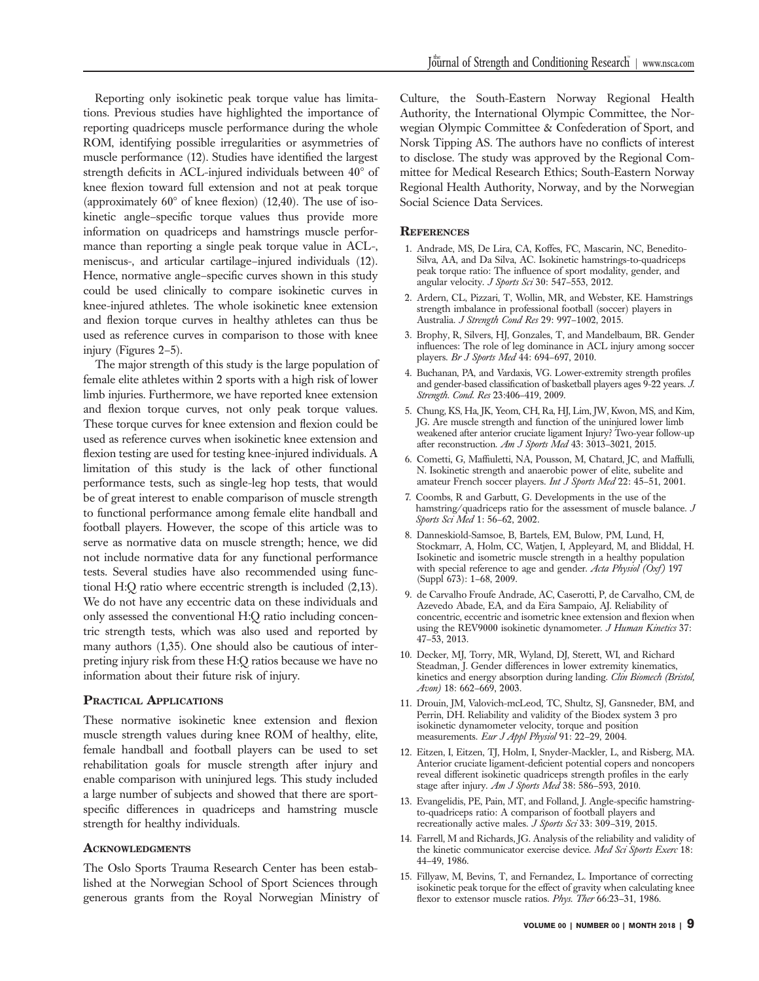Reporting only isokinetic peak torque value has limitations. Previous studies have highlighted the importance of reporting quadriceps muscle performance during the whole ROM, identifying possible irregularities or asymmetries of muscle performance (12). Studies have identified the largest strength deficits in ACL-injured individuals between  $40^{\circ}$  of knee flexion toward full extension and not at peak torque (approximately  $60^{\circ}$  of knee flexion) (12,40). The use of isokinetic angle–specific torque values thus provide more information on quadriceps and hamstrings muscle performance than reporting a single peak torque value in ACL-, meniscus-, and articular cartilage–injured individuals (12). Hence, normative angle–specific curves shown in this study could be used clinically to compare isokinetic curves in knee-injured athletes. The whole isokinetic knee extension and flexion torque curves in healthy athletes can thus be used as reference curves in comparison to those with knee injury (Figures 2–5).

The major strength of this study is the large population of female elite athletes within 2 sports with a high risk of lower limb injuries. Furthermore, we have reported knee extension and flexion torque curves, not only peak torque values. These torque curves for knee extension and flexion could be used as reference curves when isokinetic knee extension and flexion testing are used for testing knee-injured individuals. A limitation of this study is the lack of other functional performance tests, such as single-leg hop tests, that would be of great interest to enable comparison of muscle strength to functional performance among female elite handball and football players. However, the scope of this article was to serve as normative data on muscle strength; hence, we did not include normative data for any functional performance tests. Several studies have also recommended using functional H:Q ratio where eccentric strength is included (2,13). We do not have any eccentric data on these individuals and only assessed the conventional H:Q ratio including concentric strength tests, which was also used and reported by many authors (1,35). One should also be cautious of interpreting injury risk from these H:Q ratios because we have no information about their future risk of injury.

#### PRACTICAL APPLICATIONS

These normative isokinetic knee extension and flexion muscle strength values during knee ROM of healthy, elite, female handball and football players can be used to set rehabilitation goals for muscle strength after injury and enable comparison with uninjured legs. This study included a large number of subjects and showed that there are sportspecific differences in quadriceps and hamstring muscle strength for healthy individuals.

#### **ACKNOWLEDGMENTS**

The Oslo Sports Trauma Research Center has been established at the Norwegian School of Sport Sciences through generous grants from the Royal Norwegian Ministry of Culture, the South-Eastern Norway Regional Health Authority, the International Olympic Committee, the Norwegian Olympic Committee & Confederation of Sport, and Norsk Tipping AS. The authors have no conflicts of interest to disclose. The study was approved by the Regional Committee for Medical Research Ethics; South-Eastern Norway Regional Health Authority, Norway, and by the Norwegian Social Science Data Services.

# **REFERENCES**

- 1. Andrade, MS, De Lira, CA, Koffes, FC, Mascarin, NC, Benedito-Silva, AA, and Da Silva, AC. Isokinetic hamstrings-to-quadriceps peak torque ratio: The influence of sport modality, gender, and angular velocity. J Sports Sci 30: 547–553, 2012.
- 2. Ardern, CL, Pizzari, T, Wollin, MR, and Webster, KE. Hamstrings strength imbalance in professional football (soccer) players in Australia. J Strength Cond Res 29: 997-1002, 2015.
- 3. Brophy, R, Silvers, HJ, Gonzales, T, and Mandelbaum, BR. Gender influences: The role of leg dominance in ACL injury among soccer players. Br J Sports Med 44: 694–697, 2010.
- 4. Buchanan, PA, and Vardaxis, VG. Lower-extremity strength profiles and gender-based classification of basketball players ages 9-22 years. J. Strength. Cond. Res 23:406-419, 2009.
- 5. Chung, KS, Ha, JK, Yeom, CH, Ra, HJ, Lim, JW, Kwon, MS, and Kim, JG. Are muscle strength and function of the uninjured lower limb weakened after anterior cruciate ligament Injury? Two-year follow-up after reconstruction. Am J Sports Med 43: 3013-3021, 2015.
- 6. Cometti, G, Maffiuletti, NA, Pousson, M, Chatard, JC, and Maffulli, N. Isokinetic strength and anaerobic power of elite, subelite and amateur French soccer players. Int J Sports Med 22: 45-51, 2001.
- 7. Coombs, R and Garbutt, G. Developments in the use of the hamstring/quadriceps ratio for the assessment of muscle balance. J Sports Sci Med 1: 56–62, 2002.
- 8. Danneskiold-Samsoe, B, Bartels, EM, Bulow, PM, Lund, H, Stockmarr, A, Holm, CC, Watjen, I, Appleyard, M, and Bliddal, H. Isokinetic and isometric muscle strength in a healthy population with special reference to age and gender. Acta Physiol (Oxf) 197 (Suppl 673): 1–68, 2009.
- 9. de Carvalho Froufe Andrade, AC, Caserotti, P, de Carvalho, CM, de Azevedo Abade, EA, and da Eira Sampaio, AJ. Reliability of concentric, eccentric and isometric knee extension and flexion when using the REV9000 isokinetic dynamometer. J Human Kinetics 37: 47–53, 2013.
- 10. Decker, MJ, Torry, MR, Wyland, DJ, Sterett, WI, and Richard Steadman, J. Gender differences in lower extremity kinematics, kinetics and energy absorption during landing. Clin Biomech (Bristol, Avon) 18: 662–669, 2003.
- 11. Drouin, JM, Valovich-mcLeod, TC, Shultz, SJ, Gansneder, BM, and Perrin, DH. Reliability and validity of the Biodex system 3 pro isokinetic dynamometer velocity, torque and position measurements. Eur J Appl Physiol 91: 22-29, 2004.
- 12. Eitzen, I, Eitzen, TJ, Holm, I, Snyder-Mackler, L, and Risberg, MA. Anterior cruciate ligament-deficient potential copers and noncopers reveal different isokinetic quadriceps strength profiles in the early stage after injury. Am J Sports Med 38: 586-593, 2010.
- 13. Evangelidis, PE, Pain, MT, and Folland, J. Angle-specific hamstringto-quadriceps ratio: A comparison of football players and recreationally active males. J Sports Sci 33: 309-319, 2015.
- 14. Farrell, M and Richards, JG. Analysis of the reliability and validity of the kinetic communicator exercise device. Med Sci Sports Exerc 18: 44–49, 1986.
- 15. Fillyaw, M, Bevins, T, and Fernandez, L. Importance of correcting isokinetic peak torque for the effect of gravity when calculating knee flexor to extensor muscle ratios. Phys. Ther 66:23-31, 1986.